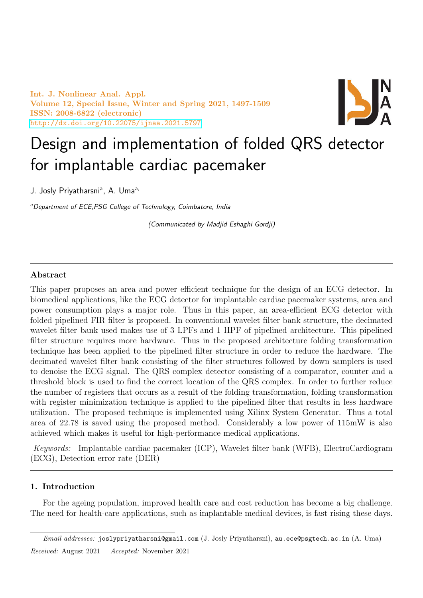Int. J. Nonlinear Anal. Appl. Volume 12, Special Issue, Winter and Spring 2021, 1497-1509 ISSN: 2008-6822 (electronic) <http://dx.doi.org/10.22075/ijnaa.2021.5797>



# Design and implementation of folded QRS detector for implantable cardiac pacemaker

J. Josly Priyatharsni<sup>a</sup>, A. Uma<sup>a,</sup>

<sup>a</sup>Department of ECE,PSG College of Technology, Coimbatore, India

(Communicated by Madjid Eshaghi Gordji)

## Abstract

This paper proposes an area and power efficient technique for the design of an ECG detector. In biomedical applications, like the ECG detector for implantable cardiac pacemaker systems, area and power consumption plays a major role. Thus in this paper, an area-efficient ECG detector with folded pipelined FIR filter is proposed. In conventional wavelet filter bank structure, the decimated wavelet filter bank used makes use of 3 LPFs and 1 HPF of pipelined architecture. This pipelined filter structure requires more hardware. Thus in the proposed architecture folding transformation technique has been applied to the pipelined filter structure in order to reduce the hardware. The decimated wavelet filter bank consisting of the filter structures followed by down samplers is used to denoise the ECG signal. The QRS complex detector consisting of a comparator, counter and a threshold block is used to find the correct location of the QRS complex. In order to further reduce the number of registers that occurs as a result of the folding transformation, folding transformation with register minimization technique is applied to the pipelined filter that results in less hardware utilization. The proposed technique is implemented using Xilinx System Generator. Thus a total area of 22.78 is saved using the proposed method. Considerably a low power of 115mW is also achieved which makes it useful for high-performance medical applications.

Keywords: Implantable cardiac pacemaker (ICP), Wavelet filter bank (WFB), ElectroCardiogram (ECG), Detection error rate (DER)

## 1. Introduction

For the ageing population, improved health care and cost reduction has become a big challenge. The need for health-care applications, such as implantable medical devices, is fast rising these days.

Email addresses: joslypriyatharsni@gmail.com (J. Josly Priyatharsni), au.ece@psgtech.ac.in (A. Uma) Received: August 2021 Accepted: November 2021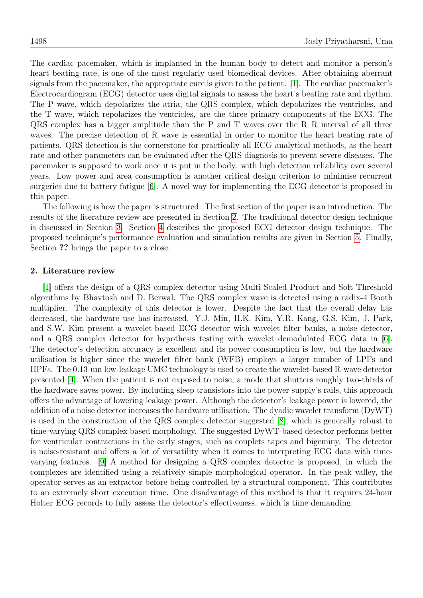The cardiac pacemaker, which is implanted in the human body to detect and monitor a person's heart beating rate, is one of the most regularly used biomedical devices. After obtaining aberrant signals from the pacemaker, the appropriate cure is given to the patient. [\[1\]](#page-12-0). The cardiac pacemaker's Electrocardiogram (ECG) detector uses digital signals to assess the heart's beating rate and rhythm. The P wave, which depolarizes the atria, the QRS complex, which depolarizes the ventricles, and the T wave, which repolarizes the ventricles, are the three primary components of the ECG. The QRS complex has a bigger amplitude than the P and T waves over the R–R interval of all three waves. The precise detection of R wave is essential in order to monitor the heart beating rate of patients. QRS detection is the cornerstone for practically all ECG analytical methods, as the heart rate and other parameters can be evaluated after the QRS diagnosis to prevent severe diseases. The pacemaker is supposed to work once it is put in the body. with high detection reliability over several years. Low power and area consumption is another critical design criterion to minimise recurrent surgeries due to battery fatigue [\[6\]](#page-12-1). A novel way for implementing the ECG detector is proposed in this paper.

The following is how the paper is structured: The first section of the paper is an introduction. The results of the literature review are presented in Section [2.](#page-1-0) The traditional detector design technique is discussed in Section [3.](#page-2-0) Section [4](#page-4-0) describes the proposed ECG detector design technique. The proposed technique's performance evaluation and simulation results are given in Section [5.](#page-11-0) Finally, Section ?? brings the paper to a close.

#### <span id="page-1-0"></span>2. Literature review

[\[1\]](#page-12-0) offers the design of a QRS complex detector using Multi Scaled Product and Soft Threshold algorithms by Bhavtosh and D. Berwal. The QRS complex wave is detected using a radix-4 Booth multiplier. The complexity of this detector is lower. Despite the fact that the overall delay has decreased, the hardware use has increased. Y.J. Min, H.K. Kim, Y.R. Kang, G.S. Kim, J. Park, and S.W. Kim present a wavelet-based ECG detector with wavelet filter banks, a noise detector, and a QRS complex detector for hypothesis testing with wavelet demodulated ECG data in [\[6\]](#page-12-1). The detector's detection accuracy is excellent and its power consumption is low, but the hardware utilisation is higher since the wavelet filter bank (WFB) employs a larger number of LPFs and HPFs. The 0.13-um low-leakage UMC technology is used to create the wavelet-based R-wave detector presented [\[4\]](#page-12-2). When the patient is not exposed to noise, a mode that shutters roughly two-thirds of the hardware saves power. By including sleep transistors into the power supply's rails, this approach offers the advantage of lowering leakage power. Although the detector's leakage power is lowered, the addition of a noise detector increases the hardware utilisation. The dyadic wavelet transform (DyWT) is used in the construction of the QRS complex detector suggested [\[8\]](#page-12-3), which is generally robust to time-varying QRS complex based morphology. The suggested DyWT-based detector performs better for ventricular contractions in the early stages, such as couplets tapes and bigeminy. The detector is noise-resistant and offers a lot of versatility when it comes to interpreting ECG data with timevarying features. [\[9\]](#page-12-4) A method for designing a QRS complex detector is proposed, in which the complexes are identified using a relatively simple morphological operator. In the peak valley, the operator serves as an extractor before being controlled by a structural component. This contributes to an extremely short execution time. One disadvantage of this method is that it requires 24-hour Holter ECG records to fully assess the detector's effectiveness, which is time demanding.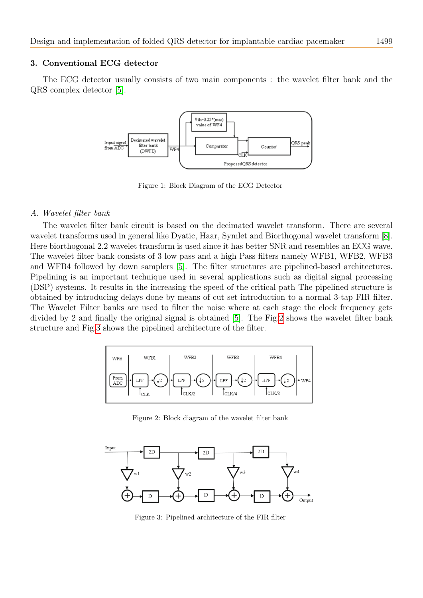#### <span id="page-2-0"></span>3. Conventional ECG detector

The ECG detector usually consists of two main components : the wavelet filter bank and the QRS complex detector [\[5\]](#page-12-5).



<span id="page-2-3"></span>Figure 1: Block Diagram of the ECG Detector

#### A. Wavelet filter bank

The wavelet filter bank circuit is based on the decimated wavelet transform. There are several wavelet transforms used in general like Dyatic, Haar, Symlet and Biorthogonal wavelet transform [\[8\]](#page-12-3). Here biorthogonal 2.2 wavelet transform is used since it has better SNR and resembles an ECG wave. The wavelet filter bank consists of 3 low pass and a high Pass filters namely WFB1, WFB2, WFB3 and WFB4 followed by down samplers [\[5\]](#page-12-5). The filter structures are pipelined-based architectures. Pipelining is an important technique used in several applications such as digital signal processing (DSP) systems. It results in the increasing the speed of the critical path The pipelined structure is obtained by introducing delays done by means of cut set introduction to a normal 3-tap FIR filter. The Wavelet Filter banks are used to filter the noise where at each stage the clock frequency gets divided by 2 and finally the original signal is obtained [\[5\]](#page-12-5). The Fig[.2](#page-2-1) shows the wavelet filter bank structure and Fig[.3](#page-2-2) shows the pipelined architecture of the filter.



<span id="page-2-1"></span>Figure 2: Block diagram of the wavelet filter bank



<span id="page-2-2"></span>Figure 3: Pipelined architecture of the FIR filter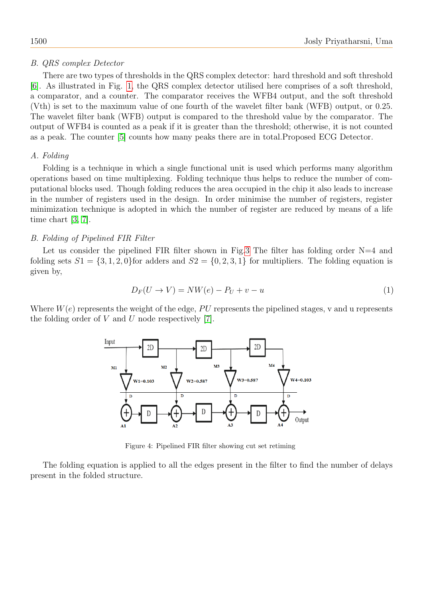### B. QRS complex Detector

There are two types of thresholds in the QRS complex detector: hard threshold and soft threshold [\[6\]](#page-12-1). As illustrated in Fig. [1,](#page-2-3) the QRS complex detector utilised here comprises of a soft threshold, a comparator, and a counter. The comparator receives the WFB4 output, and the soft threshold (Vth) is set to the maximum value of one fourth of the wavelet filter bank (WFB) output, or 0.25. The wavelet filter bank (WFB) output is compared to the threshold value by the comparator. The output of WFB4 is counted as a peak if it is greater than the threshold; otherwise, it is not counted as a peak. The counter [\[5\]](#page-12-5) counts how many peaks there are in total.Proposed ECG Detector.

#### A. Folding

Folding is a technique in which a single functional unit is used which performs many algorithm operations based on time multiplexing. Folding technique thus helps to reduce the number of computational blocks used. Though folding reduces the area occupied in the chip it also leads to increase in the number of registers used in the design. In order minimise the number of registers, register minimization technique is adopted in which the number of register are reduced by means of a life time chart [\[3,](#page-12-6) [7\]](#page-12-7).

#### B. Folding of Pipelined FIR Filter

Let us consider the pipelined FIR filter shown in Fig[.3](#page-2-2) The filter has folding order  $N=4$  and folding sets  $S_1 = \{3, 1, 2, 0\}$  for adders and  $S_2 = \{0, 2, 3, 1\}$  for multipliers. The folding equation is given by,

$$
D_F(U \to V) = NW(e) - P_U + v - u \tag{1}
$$

Where  $W(e)$  represents the weight of the edge, PU represents the pipelined stages, v and u represents the folding order of  $V$  and  $U$  node respectively [\[7\]](#page-12-7).



<span id="page-3-0"></span>Figure 4: Pipelined FIR filter showing cut set retiming

The folding equation is applied to all the edges present in the filter to find the number of delays present in the folded structure.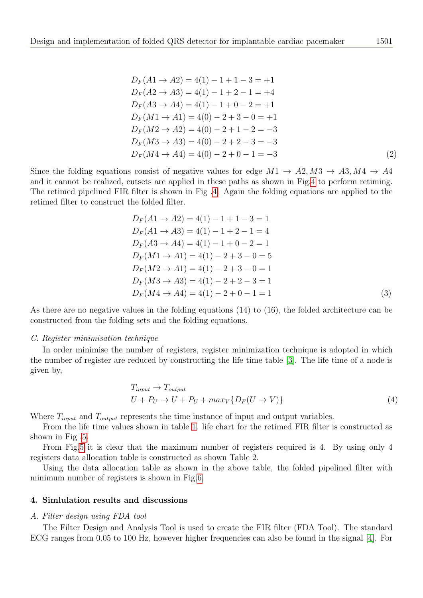$$
D_F(A1 \to A2) = 4(1) - 1 + 1 - 3 = +1
$$
  
\n
$$
D_F(A2 \to A3) = 4(1) - 1 + 2 - 1 = +4
$$
  
\n
$$
D_F(A3 \to A4) = 4(1) - 1 + 0 - 2 = +1
$$
  
\n
$$
D_F(M1 \to A1) = 4(0) - 2 + 3 - 0 = +1
$$
  
\n
$$
D_F(M2 \to A2) = 4(0) - 2 + 1 - 2 = -3
$$
  
\n
$$
D_F(M3 \to A3) = 4(0) - 2 + 2 - 3 = -3
$$
  
\n
$$
D_F(M4 \to A4) = 4(0) - 2 + 0 - 1 = -3
$$
\n(2)

Since the folding equations consist of negative values for edge  $M1 \rightarrow A2, M3 \rightarrow A3, M4 \rightarrow A4$ and it cannot be realized, cutsets are applied in these paths as shown in Fig[.4](#page-3-0) to perform retiming. The retimed pipelined FIR filter is shown in Fig [.4.](#page-3-0) Again the folding equations are applied to the retimed filter to construct the folded filter.

$$
D_F(A1 \to A2) = 4(1) - 1 + 1 - 3 = 1
$$
  
\n
$$
D_F(A1 \to A3) = 4(1) - 1 + 2 - 1 = 4
$$
  
\n
$$
D_F(A3 \to A4) = 4(1) - 1 + 0 - 2 = 1
$$
  
\n
$$
D_F(M1 \to A1) = 4(1) - 2 + 3 - 0 = 5
$$
  
\n
$$
D_F(M2 \to A1) = 4(1) - 2 + 3 - 0 = 1
$$
  
\n
$$
D_F(M3 \to A3) = 4(1) - 2 + 2 - 3 = 1
$$
  
\n
$$
D_F(M4 \to A4) = 4(1) - 2 + 0 - 1 = 1
$$
\n(3)

As there are no negative values in the folding equations (14) to (16), the folded architecture can be constructed from the folding sets and the folding equations.

#### C. Register minimisation technique

In order minimise the number of registers, register minimization technique is adopted in which the number of register are reduced by constructing the life time table [\[3\]](#page-12-6). The life time of a node is given by,

$$
T_{input} \rightarrow T_{output}
$$
  
 
$$
U + P_U \rightarrow U + P_U + max_V \{D_F(U \rightarrow V)\}
$$
 (4)

Where  $T_{input}$  and  $T_{output}$  represents the time instance of input and output variables.

From the life time values shown in table [1.](#page-5-0) life chart for the retimed FIR filter is constructed as shown in Fig [.5.](#page-5-1)

From Fig[.5](#page-5-1) it is clear that the maximum number of registers required is 4. By using only 4 registers data allocation table is constructed as shown Table 2.

Using the data allocation table as shown in the above table, the folded pipelined filter with minimum number of registers is shown in Fig[.6.](#page-6-0)

#### <span id="page-4-0"></span>4. Simlulation results and discussions

#### A. Filter design using FDA tool

The Filter Design and Analysis Tool is used to create the FIR filter (FDA Tool). The standard ECG ranges from 0.05 to 100 Hz, however higher frequencies can also be found in the signal [\[4\]](#page-12-2). For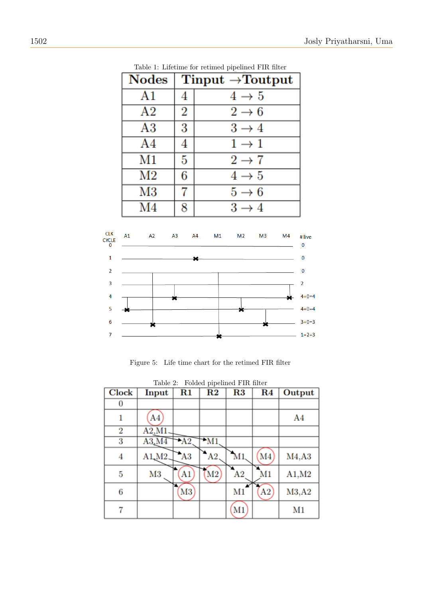<span id="page-5-0"></span>

| <b>Nodes</b>   |   | $Tinput \rightarrow Toutput$ |
|----------------|---|------------------------------|
| A1             | 4 | $4 \rightarrow 5$            |
| A2             | 2 | $2 \rightarrow 6$            |
| A3             | 3 | $3 \rightarrow 4$            |
| A4             | 4 | $1 \rightarrow 1$            |
| M1             | 5 | $2 \rightarrow 7$            |
| M <sub>2</sub> | 6 | $4 \rightarrow 5$            |
| M <sub>3</sub> |   | $5 \rightarrow 6$            |
| M <sub>4</sub> | 8 | $3 \rightarrow 4$            |

Table 1: Lifetime for retimed pipelined FIR filter



Figure 5: Life time chart for the retimed FIR filter

| <b>Clock</b>     | Input              | $\rm R1$                 | $\rm R2$       | $\overline{\mathrm{R3}}$ | R4             | Output |
|------------------|--------------------|--------------------------|----------------|--------------------------|----------------|--------|
| 0                |                    |                          |                |                          |                |        |
| 1                | A <sub>4</sub>     |                          |                |                          |                | A4     |
| $\boldsymbol{2}$ | $A2,\overline{M1}$ |                          |                |                          |                |        |
| 3                | A3.M4              | $+A2$                    | $^*$ M1        |                          |                |        |
| 4                | A1, M2,            | A3                       | A2             | M1                       | M <sub>4</sub> | M4, A3 |
| 5                | M <sub>3</sub>     | A1                       | M <sub>2</sub> | A <sub>2</sub>           | M1             | A1,M2  |
| 6                |                    | $\overline{\mathrm{M3}}$ |                | M <sub>1</sub>           | A2             | M3, A2 |
|                  |                    |                          |                | M1                       |                | M1     |

<span id="page-5-1"></span> $Table 2:$  Folded pipelined FIR  $f$ <sup>1</sup>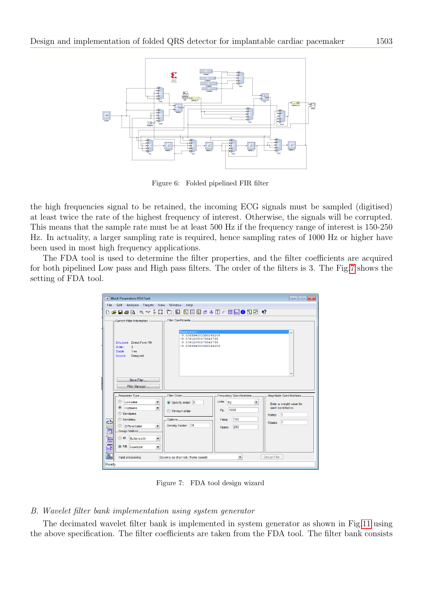

<span id="page-6-0"></span>Figure 6: Folded pipelined FIR filter

the high frequencies signal to be retained, the incoming ECG signals must be sampled (digitised) at least twice the rate of the highest frequency of interest. Otherwise, the signals will be corrupted. This means that the sample rate must be at least 500 Hz if the frequency range of interest is 150-250 Hz. In actuality, a larger sampling rate is required, hence sampling rates of 1000 Hz or higher have been used in most high frequency applications.

The FDA tool is used to determine the filter properties, and the filter coefficients are acquired for both pipelined Low pass and High pass filters. The order of the filters is 3. The Fig[.7](#page-6-1) shows the setting of FDA tool.

| <b>A</b> Block Parameters: FDATool                                                 |                                                |                           |                                              |  |  |  |  |  |
|------------------------------------------------------------------------------------|------------------------------------------------|---------------------------|----------------------------------------------|--|--|--|--|--|
| File Edit Analysis Targets View Window<br>Help                                     |                                                |                           |                                              |  |  |  |  |  |
| ▯ <b>▱▮</b> ◓◙│◕▿▵▧│◘│K}│◘│◘◙ <i>☀</i> ೀ۩ோ∰◎◙◙│♦?                                  |                                                |                           |                                              |  |  |  |  |  |
| - Current Filter Information - Filter Coefficients                                 |                                                |                           |                                              |  |  |  |  |  |
|                                                                                    |                                                |                           |                                              |  |  |  |  |  |
|                                                                                    | Numerator:                                     |                           |                                              |  |  |  |  |  |
|                                                                                    | 0.056334580330248206<br>$-0.57612095170342736$ |                           |                                              |  |  |  |  |  |
| Structure: Direct-Form FIR                                                         | 0.57612095170342736<br>$-0.056334580330248206$ |                           |                                              |  |  |  |  |  |
| 3.<br>Order:<br>Yes<br>Stable:                                                     |                                                |                           |                                              |  |  |  |  |  |
| Designed<br>Source:                                                                |                                                |                           |                                              |  |  |  |  |  |
|                                                                                    |                                                |                           |                                              |  |  |  |  |  |
|                                                                                    |                                                |                           |                                              |  |  |  |  |  |
|                                                                                    |                                                |                           |                                              |  |  |  |  |  |
| Store Filter                                                                       |                                                |                           |                                              |  |  |  |  |  |
| $\overline{\phantom{a}}$<br>Filter Manager                                         |                                                |                           |                                              |  |  |  |  |  |
| Response Type                                                                      | Filter Order-                                  | Frequency Specifications. | - Magnitude Specifications -                 |  |  |  |  |  |
| Lowpass                                                                            |                                                | Units: $HZ$               |                                              |  |  |  |  |  |
| $\overline{\phantom{a}}$<br>$\circledcirc$<br>$\overline{\phantom{0}}$<br>Highpass | Specify order: 3                               | $\overline{\phantom{a}}$  | Enter a weight value for<br>each band below. |  |  |  |  |  |
| <b>Bandpass</b>                                                                    | <b>Minimum order</b>                           | 1000<br>Fs:               |                                              |  |  |  |  |  |
| <b>Bandstop</b>                                                                    | Options-                                       | 100<br>Fstop:             | $\overline{1}$<br>Wstop:                     |  |  |  |  |  |
| œ<br><b>O</b> Differentiator<br>$\overline{\phantom{a}}$                           | Density Factor: 16                             |                           | Wpass: 1                                     |  |  |  |  |  |
| 。<br><mark>ひ</mark><br>Design Method.                                              |                                                | 250<br>Foass:             |                                              |  |  |  |  |  |
| $\odot$ IR<br>$\overline{\phantom{0}}$<br>Butterworth                              |                                                |                           |                                              |  |  |  |  |  |
| D                                                                                  |                                                |                           |                                              |  |  |  |  |  |
| 霹<br>C FIR Equiripple<br>$\blacktriangledown$                                      |                                                |                           |                                              |  |  |  |  |  |
| L<br>Input processing:                                                             | Columns as channels (frame based)              | ٠                         | Design Filter                                |  |  |  |  |  |
| Ready                                                                              |                                                |                           |                                              |  |  |  |  |  |

<span id="page-6-1"></span>Figure 7: FDA tool design wizard

#### B. Wavelet filter bank implementation using system generator

The decimated wavelet filter bank is implemented in system generator as shown in Fig[.11](#page-8-0) using the above specification. The filter coefficients are taken from the FDA tool. The filter bank consists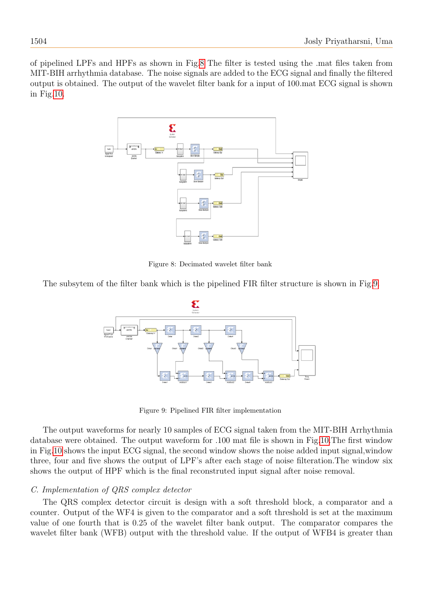of pipelined LPFs and HPFs as shown in Fig[.8](#page-7-0) The filter is tested using the .mat files taken from MIT-BIH arrhythmia database. The noise signals are added to the ECG signal and finally the filtered output is obtained. The output of the wavelet filter bank for a input of 100.mat ECG signal is shown in Fig[.10.](#page-8-1)



<span id="page-7-0"></span>Figure 8: Decimated wavelet filter bank

The subsytem of the filter bank which is the pipelined FIR filter structure is shown in Fig[.9.](#page-7-1)



<span id="page-7-1"></span>Figure 9: Pipelined FIR filter implementation

The output waveforms for nearly 10 samples of ECG signal taken from the MIT-BIH Arrhythmia database were obtained. The output waveform for .100 mat file is shown in Fig[.10.](#page-8-1)The first window in Fig[.10](#page-8-1) shows the input ECG signal, the second window shows the noise added input signal,window three, four and five shows the output of LPF's after each stage of noise filteration.The window six shows the output of HPF which is the final reconstruted input signal after noise removal.

#### C. Implementation of QRS complex detector

The QRS complex detector circuit is design with a soft threshold block, a comparator and a counter. Output of the WF4 is given to the comparator and a soft threshold is set at the maximum value of one fourth that is 0.25 of the wavelet filter bank output. The comparator compares the wavelet filter bank (WFB) output with the threshold value. If the output of WFB4 is greater than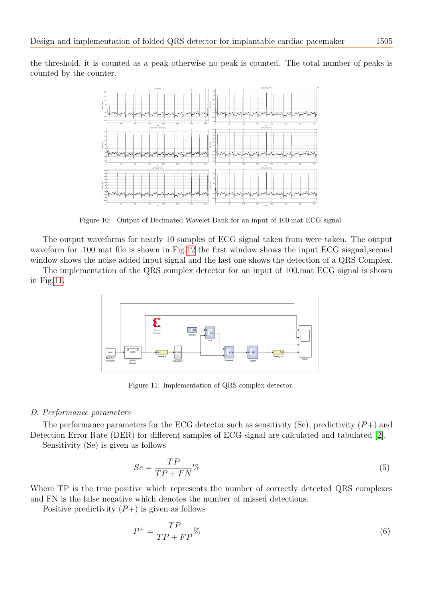the threshold, it is counted as a peak otherwise no peak is counted. The total number of peaks is counted by the counter.



<span id="page-8-1"></span>Figure 10: Output of Decimated Wavelet Bank for an input of 100.mat ECG signal

The output waveforms for nearly 10 samples of ECG signal taken from were taken. The output waveform for .100 mat file is shown in Fig[.12](#page-9-0) the first window shows the input ECG sisgnal, second window shows the noise added input signal and the last one shows the detection of a QRS Complex.

The implementation of the QRS complex detector for an input of 100.mat ECG signal is shown in Fig[.11.](#page-8-0)



<span id="page-8-0"></span>Figure 11: Implementation of QRS complex detector

#### D. Performance parameters

The performance parameters for the ECG detector such as sensitivity (Se), predictivity  $(P+)$  and Detection Error Rate (DER) for different samples of ECG signal are calculated and tabulated [\[2\]](#page-12-8). Sensitivity (Se) is given as follows

$$
Se = \frac{TP}{TP + FN} \%
$$
\n<sup>(5)</sup>

Where TP is the true positive which represents the number of correctly detected QRS complexes and FN is the false negative which denotes the number of missed detections.

Positive predictivity  $(P+)$  is given as follows

$$
P^{+} = \frac{TP}{TP + FP} \%
$$
\n<sup>(6)</sup>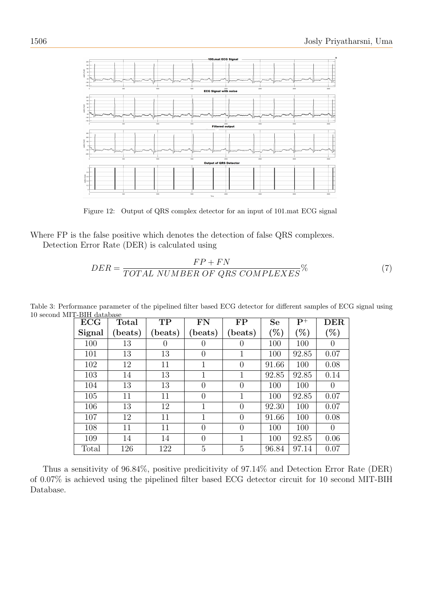

<span id="page-9-0"></span>Figure 12: Output of QRS complex detector for an input of 101.mat ECG signal

Where FP is the false positive which denotes the detection of false QRS complexes. Detection Error Rate (DER) is calculated using

$$
DER = \frac{FP + FN}{TOTAL\ NUMBER\ OF\ QRS\ COMPLEXES} \%
$$
\n<sup>(7)</sup>

| ит-ып датараѕе<br><b>ECG</b> | <b>Total</b> | TP     | FN             | FP               | <b>Se</b> | $\mathbf{P}^+$ | <b>DER</b> |
|------------------------------|--------------|--------|----------------|------------------|-----------|----------------|------------|
| Signal                       | beats)       | beats) | (beats)        | (beats)          | $(\%)$    | $(\%)$         | $(\%)$     |
| 100                          | 13           | U      | U              | $\left( \right)$ | 100       | 100            | $\theta$   |
| 101                          | 13           | 13     | $\overline{0}$ | 1                | 100       | 92.85          | 0.07       |
| 102                          | 12           | 11     | $\overline{1}$ | $\theta$         | 91.66     | 100            | 0.08       |
| 103                          | 14           | 13     | 1              | $\overline{1}$   | 92.85     | 92.85          | 0.14       |
| 104                          | 13           | 13     | $\theta$       | $\theta$         | 100       | 100            | $\left($   |
| 105                          | 11           | 11     | $\theta$       | 1                | 100       | 92.85          | 0.07       |
| 106                          | 13           | 12     | 1              | $\theta$         | 92.30     | 100            | 0.07       |
| 107                          | 12           | 11     | 1              | $\theta$         | 91.66     | 100            | 0.08       |
| 108                          | 11           | 11     | $\overline{0}$ | $\theta$         | 100       | 100            | $\Omega$   |
| 109                          | 14           | 14     | $\overline{0}$ | $\mathbf 1$      | 100       | 92.85          | 0.06       |
| Total                        | 126          | 122    | 5              | 5                | 96.84     | 97.14          | 0.07       |

Table 3: Performance parameter of the pipelined filter based ECG detector for different samples of ECG signal using  $10$  second MIT-BIH database.

Thus a sensitivity of 96.84%, positive predicitivity of 97.14% and Detection Error Rate (DER) of 0.07% is achieved using the pipelined filter based ECG detector circuit for 10 second MIT-BIH Database.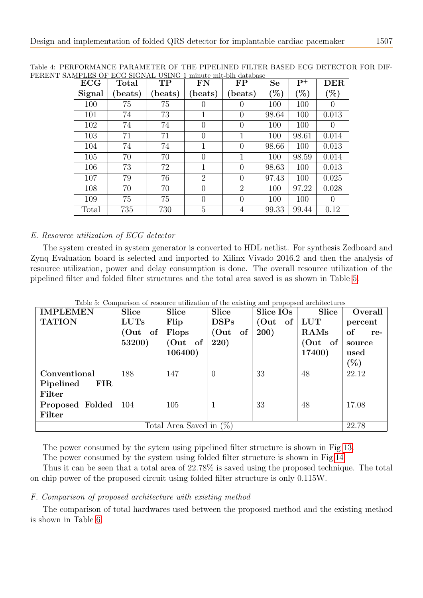| עש טעבע בניגו<br><b>ECG</b> | <b>Total</b> | <b>ECQ STORING CONTROL I INHORE THE SHIP GARGEOGISC</b><br>TP | FN             | $\rm FP$       | <b>Se</b> | $\mathbf{P}^+$  | ${\rm DER}$      |
|-----------------------------|--------------|---------------------------------------------------------------|----------------|----------------|-----------|-----------------|------------------|
| Signal                      | beats)       | (beats)                                                       | beats)         | beats)         | $(\%)$    | $\mathcal{C}_0$ | $\mathscr{C}_0$  |
| 100                         | 75           | 75                                                            |                |                | 100       | 100             | $\theta$         |
| 101                         | 74           | 73                                                            |                | 0              | 98.64     | 100             | 0.013            |
| 102                         | 74           | 74                                                            | 0              | $\theta$       | 100       | 100             | $\left( \right)$ |
| 103                         | 71           | 71                                                            | $\theta$       | 1              | 100       | 98.61           | 0.014            |
| 104                         | 74           | 74                                                            | 1              | $\theta$       | 98.66     | 100             | 0.013            |
| 105                         | 70           | 70                                                            | 0              | 1              | 100       | 98.59           | 0.014            |
| 106                         | 73           | 72                                                            | 1              | $\Omega$       | 98.63     | 100             | 0.013            |
| 107                         | 79           | 76                                                            | $\overline{2}$ | $\Omega$       | 97.43     | 100             | 0.025            |
| 108                         | 70           | 70                                                            | 0              | $\overline{2}$ | 100       | 97.22           | 0.028            |
| 109                         | 75           | 75                                                            | $\Omega$       | $\Omega$       | 100       | 100             | $\Omega$         |
| Total                       | 735          | 730                                                           | 5              | 4              | 99.33     | 99.44           | 0.12             |

Table 4: PERFORMANCE PARAMETER OF THE PIPELINED FILTER BASED ECG DETECTOR FOR DIF-FERENT SAMPLES OF ECG SIGNAL USING 1 minute mit-bih database

# E. Resource utilization of ECG detector

The system created in system generator is converted to HDL netlist. For synthesis Zedboard and Zynq Evaluation board is selected and imported to Xilinx Vivado 2016.2 and then the analysis of resource utilization, power and delay consumption is done. The overall resource utilization of the pipelined filter and folded filter structures and the total area saved is as shown in Table [5.](#page-10-0)

<span id="page-10-0"></span>

| <b>IMPLEMEN</b>                     | <b>Slice</b>    | <b>Slice</b>       | <b>Slice</b> | <b>Slice IOs</b>   | <b>Slice</b> | Overall              |  |
|-------------------------------------|-----------------|--------------------|--------------|--------------------|--------------|----------------------|--|
| <b>TATION</b>                       | <b>LUTs</b>     | Flip               | <b>DSPs</b>  | $(Out \text{ of }$ | <b>LUT</b>   | percent              |  |
|                                     | $(Out \; of \;$ | Flops              | (Out<br>of   | <b>200</b> )       | RAMs         | <sub>of</sub><br>re- |  |
|                                     | 53200)          | $(Out \text{ of }$ | 220)         |                    | (Out of      | source               |  |
|                                     |                 | 106400)            |              |                    | 17400)       | used                 |  |
|                                     |                 |                    |              |                    |              | $(\%)$               |  |
| Conventional                        | 188             | 147                | $\theta$     | 33                 | 48           | 22.12                |  |
| FIR<br>Pipelined                    |                 |                    |              |                    |              |                      |  |
| Filter                              |                 |                    |              |                    |              |                      |  |
| Proposed Folded                     | 104             | 105                |              | 33                 | 48           | 17.08                |  |
| Filter                              |                 |                    |              |                    |              |                      |  |
| Total Area Saved in $(\%)$<br>22.78 |                 |                    |              |                    |              |                      |  |

Table 5: Comparison of resource utilization of the existing and propopsed architectures

The power consumed by the sytem using pipelined filter structure is shown in Fig [13.](#page-11-1)

The power consumed by the system using folded filter structure is shown in Fig[.14.](#page-11-2)

Thus it can be seen that a total area of 22.78% is saved using the proposed technique. The total on chip power of the proposed circuit using folded filter structure is only 0.115W.

# F. Comparison of proposed architecture with existing method

The comparison of total hardwares used between the proposed method and the existing method is shown in Table [6.](#page-12-9)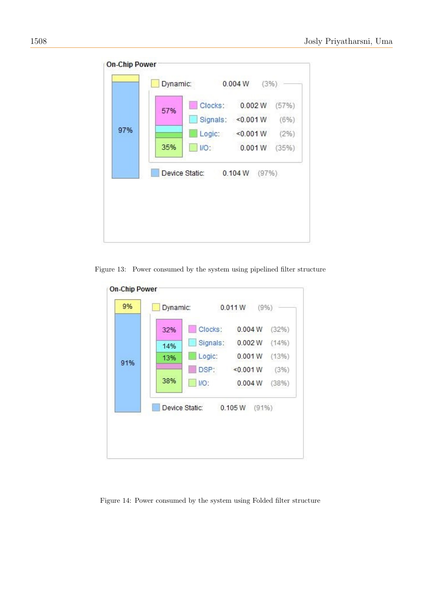| Clocks: 0.002 W<br>(57%)<br>57%<br>Signals: <0.001W<br>Logic: < 0.001 W<br>35%<br><b>I/O:</b><br>0.001W<br>Device Static: 0.104 W (97%) |     | Dynamic: | 0.004 W | (3%) |
|-----------------------------------------------------------------------------------------------------------------------------------------|-----|----------|---------|------|
| $(6\%)$<br>$(2\%)$                                                                                                                      |     |          |         |      |
|                                                                                                                                         |     |          |         |      |
| (35%)                                                                                                                                   | 97% |          |         |      |
|                                                                                                                                         |     |          |         |      |
|                                                                                                                                         |     |          |         |      |
|                                                                                                                                         |     |          |         |      |
|                                                                                                                                         |     |          |         |      |

Figure 13: Power consumed by the system using pipelined filter structure

<span id="page-11-1"></span>

<span id="page-11-2"></span><span id="page-11-0"></span>Figure 14: Power consumed by the system using Folded filter structure